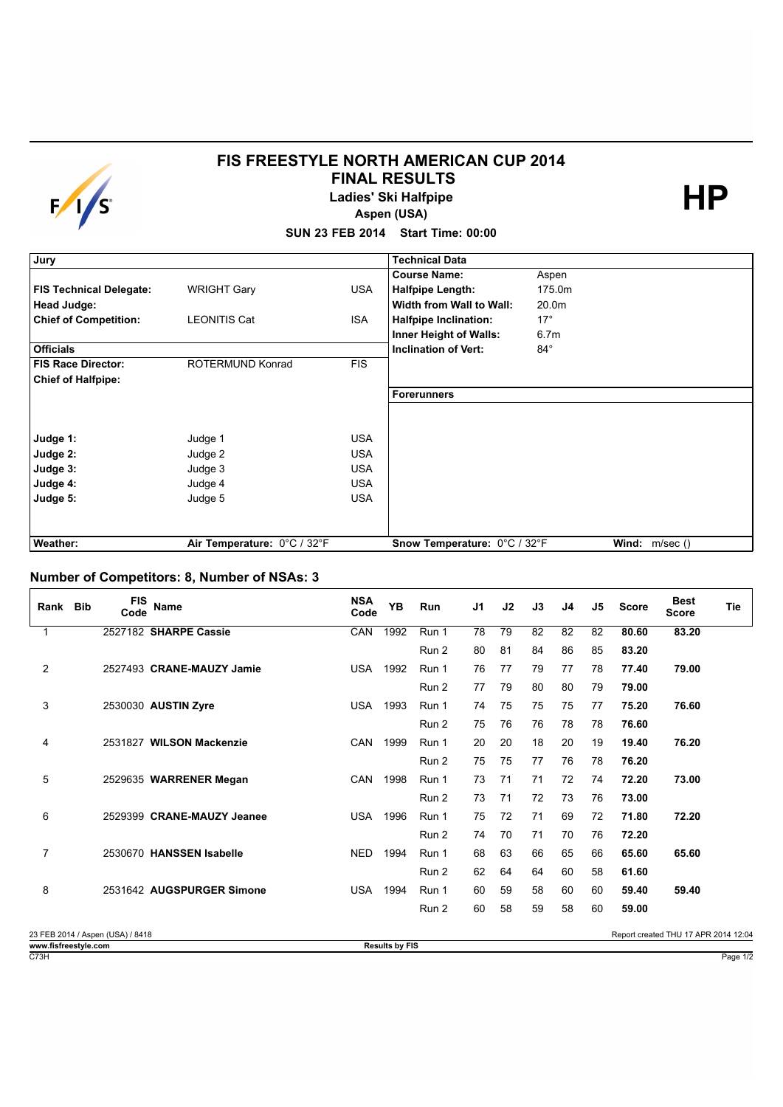

## **FIS FREESTYLE NORTH AMERICAN CUP 2014 FINAL RESULTS**

**Ladies' Ski Halfpipe** 

**HP**

**Aspen (USA)**

**SUN 23 FEB 2014 Start Time: 00:00**

| Jury                           |                             |            | <b>Technical Data</b>        |                  |                 |
|--------------------------------|-----------------------------|------------|------------------------------|------------------|-----------------|
|                                |                             |            | <b>Course Name:</b>          | Aspen            |                 |
| <b>FIS Technical Delegate:</b> | <b>WRIGHT Gary</b>          | <b>USA</b> | <b>Halfpipe Length:</b>      | 175.0m           |                 |
| Head Judge:                    |                             |            | Width from Wall to Wall:     | 20.0m            |                 |
| <b>Chief of Competition:</b>   | <b>LEONITIS Cat</b>         | <b>ISA</b> | <b>Halfpipe Inclination:</b> | $17^{\circ}$     |                 |
|                                |                             |            | Inner Height of Walls:       | 6.7 <sub>m</sub> |                 |
| <b>Officials</b>               |                             |            | <b>Inclination of Vert:</b>  | $84^{\circ}$     |                 |
| <b>FIS Race Director:</b>      | ROTERMUND Konrad            | <b>FIS</b> |                              |                  |                 |
| <b>Chief of Halfpipe:</b>      |                             |            |                              |                  |                 |
|                                |                             |            | Forerunners                  |                  |                 |
|                                |                             |            |                              |                  |                 |
|                                |                             |            |                              |                  |                 |
| Judge 1:                       | Judge 1                     | <b>USA</b> |                              |                  |                 |
| Judge 2:                       | Judge 2                     | <b>USA</b> |                              |                  |                 |
| Judge 3:                       | Judge 3                     | <b>USA</b> |                              |                  |                 |
| Judge 4:                       | Judge 4                     | <b>USA</b> |                              |                  |                 |
| Judge 5:                       | Judge 5                     | <b>USA</b> |                              |                  |                 |
|                                |                             |            |                              |                  |                 |
|                                |                             |            |                              |                  |                 |
| Weather:                       | Air Temperature: 0°C / 32°F |            | Snow Temperature: 0°C / 32°F |                  | Wind: $m/sec()$ |

## **Number of Competitors: 8, Number of NSAs: 3**

| Rank                 | <b>Bib</b> | <b>FIS</b><br>Code               | Name                       | <b>NSA</b><br>Code | <b>YB</b>             | Run   | J <sub>1</sub> | J2 | J3 | J4 | J5 | <b>Score</b> | <b>Best</b><br><b>Score</b>          | Tie      |
|----------------------|------------|----------------------------------|----------------------------|--------------------|-----------------------|-------|----------------|----|----|----|----|--------------|--------------------------------------|----------|
| 1                    |            |                                  | 2527182 SHARPE Cassie      | CAN                | 1992                  | Run 1 | 78             | 79 | 82 | 82 | 82 | 80.60        | 83.20                                |          |
|                      |            |                                  |                            |                    |                       | Run 2 | 80             | 81 | 84 | 86 | 85 | 83.20        |                                      |          |
| $\overline{2}$       |            |                                  | 2527493 CRANE-MAUZY Jamie  | <b>USA</b>         | 1992                  | Run 1 | 76             | 77 | 79 | 77 | 78 | 77.40        | 79.00                                |          |
|                      |            |                                  |                            |                    |                       | Run 2 | 77             | 79 | 80 | 80 | 79 | 79.00        |                                      |          |
| 3                    |            |                                  | 2530030 AUSTIN Zyre        | <b>USA</b>         | 1993                  | Run 1 | 74             | 75 | 75 | 75 | 77 | 75.20        | 76.60                                |          |
|                      |            |                                  |                            |                    |                       | Run 2 | 75             | 76 | 76 | 78 | 78 | 76.60        |                                      |          |
| 4                    |            |                                  | 2531827 WILSON Mackenzie   | CAN                | 1999                  | Run 1 | 20             | 20 | 18 | 20 | 19 | 19.40        | 76.20                                |          |
|                      |            |                                  |                            |                    |                       | Run 2 | 75             | 75 | 77 | 76 | 78 | 76.20        |                                      |          |
| 5                    |            |                                  | 2529635 WARRENER Megan     | <b>CAN</b>         | 1998                  | Run 1 | 73             | 71 | 71 | 72 | 74 | 72.20        | 73.00                                |          |
|                      |            |                                  |                            |                    |                       | Run 2 | 73             | 71 | 72 | 73 | 76 | 73.00        |                                      |          |
| 6                    |            |                                  | 2529399 CRANE-MAUZY Jeanee | <b>USA</b>         | 1996                  | Run 1 | 75             | 72 | 71 | 69 | 72 | 71.80        | 72.20                                |          |
|                      |            |                                  |                            |                    |                       | Run 2 | 74             | 70 | 71 | 70 | 76 | 72.20        |                                      |          |
| 7                    |            |                                  | 2530670 HANSSEN Isabelle   | <b>NED</b>         | 1994                  | Run 1 | 68             | 63 | 66 | 65 | 66 | 65.60        | 65.60                                |          |
|                      |            |                                  |                            |                    |                       | Run 2 | 62             | 64 | 64 | 60 | 58 | 61.60        |                                      |          |
| 8                    |            |                                  | 2531642 AUGSPURGER Simone  | <b>USA</b>         | 1994                  | Run 1 | 60             | 59 | 58 | 60 | 60 | 59.40        | 59.40                                |          |
|                      |            |                                  |                            |                    |                       | Run 2 | 60             | 58 | 59 | 58 | 60 | 59.00        |                                      |          |
|                      |            | 23 FEB 2014 / Aspen (USA) / 8418 |                            |                    |                       |       |                |    |    |    |    |              | Report created THU 17 APR 2014 12:04 |          |
| www.fisfreestyle.com |            |                                  |                            |                    | <b>Results by FIS</b> |       |                |    |    |    |    |              |                                      |          |
| C73H                 |            |                                  |                            |                    |                       |       |                |    |    |    |    |              |                                      | Page 1/2 |